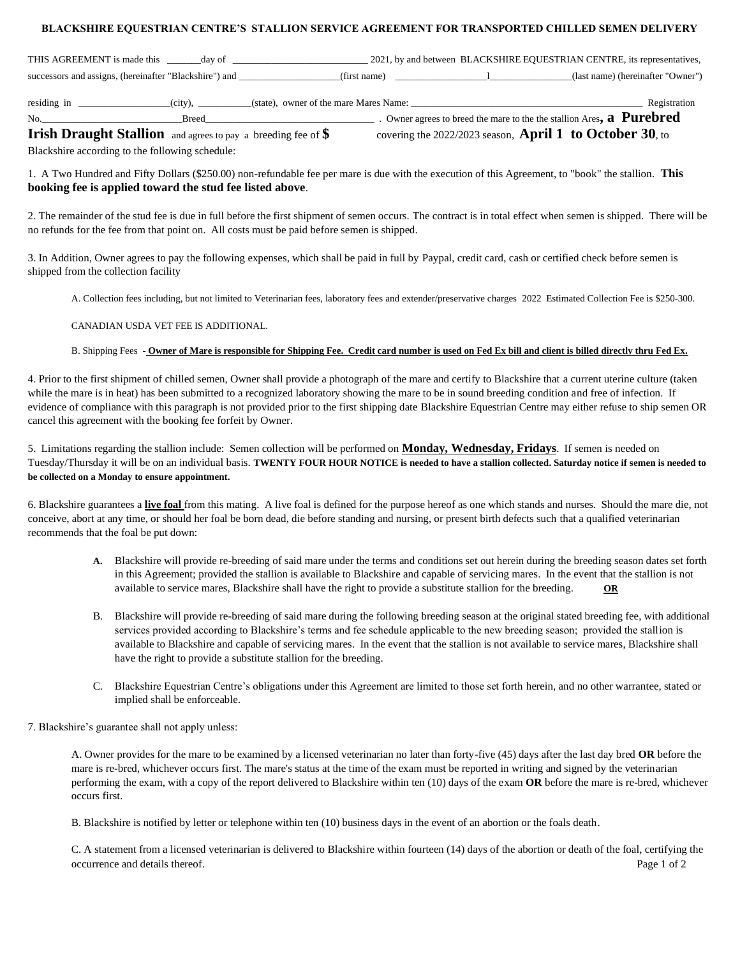## **BLACKSHIRE EQUESTRIAN CENTRE'S STALLION SERVICE AGREEMENT FOR TRANSPORTED CHILLED SEMEN DELIVERY**

| THIS AGREEMENT is made this                                          | day of |                                        | 2021, by and between BLACKSHIRE EQUESTRIAN CENTRE, its representatives,             |  |
|----------------------------------------------------------------------|--------|----------------------------------------|-------------------------------------------------------------------------------------|--|
| successors and assigns, (hereinafter "Blackshire") and               |        |                                        | (last name) (hereinafter "Owner")<br>$\frac{1}{2}$ (first name)                     |  |
| residing in                                                          |        | (state), owner of the mare Mares Name: | Registration                                                                        |  |
| No.                                                                  | Breed  |                                        | . Owner agrees to breed the mare to the the stallion Ares, $\bf{a}$ <b>Purebred</b> |  |
| <b>Irish Draught Stallion</b> and agrees to pay a breeding fee of \$ |        |                                        | covering the 2022/2023 season, April 1 to October 30, to                            |  |

Blackshire according to the following schedule:

1. A Two Hundred and Fifty Dollars (\$250.00) non-refundable fee per mare is due with the execution of this Agreement, to "book" the stallion. **This booking fee is applied toward the stud fee listed above**.

2. The remainder of the stud fee is due in full before the first shipment of semen occurs. The contract is in total effect when semen is shipped. There will be no refunds for the fee from that point on. All costs must be paid before semen is shipped.

3. In Addition, Owner agrees to pay the following expenses, which shall be paid in full by Paypal, credit card, cash or certified check before semen is shipped from the collection facility

A. Collection fees including, but not limited to Veterinarian fees, laboratory fees and extender/preservative charges 2022 Estimated Collection Fee is \$250-300.

## CANADIAN USDA VET FEE IS ADDITIONAL.

## B. Shipping Fees - **Owner of Mare is responsible for Shipping Fee. Credit card number is used on Fed Ex bill and client is billed directly thru Fed Ex.**

4. Prior to the first shipment of chilled semen, Owner shall provide a photograph of the mare and certify to Blackshire that a current uterine culture (taken while the mare is in heat) has been submitted to a recognized laboratory showing the mare to be in sound breeding condition and free of infection. If evidence of compliance with this paragraph is not provided prior to the first shipping date Blackshire Equestrian Centre may either refuse to ship semen OR cancel this agreement with the booking fee forfeit by Owner.

5. Limitations regarding the stallion include: Semen collection will be performed on **Monday, Wednesday, Fridays**. If semen is needed on Tuesday/Thursday it will be on an individual basis. **TWENTY FOUR HOUR NOTICE is needed to have a stallion collected. Saturday notice if semen is needed to be collected on a Monday to ensure appointment.** 

6. Blackshire guarantees a **live foal** from this mating. A live foal is defined for the purpose hereof as one which stands and nurses. Should the mare die, not conceive, abort at any time, or should her foal be born dead, die before standing and nursing, or present birth defects such that a qualified veterinarian recommends that the foal be put down:

- **A.** Blackshire will provide re-breeding of said mare under the terms and conditions set out herein during the breeding season dates set forth in this Agreement; provided the stallion is available to Blackshire and capable of servicing mares. In the event that the stallion is not available to service mares, Blackshire shall have the right to provide a substitute stallion for the breeding. **OR**
- B. Blackshire will provide re-breeding of said mare during the following breeding season at the original stated breeding fee, with additional services provided according to Blackshire's terms and fee schedule applicable to the new breeding season; provided the stallion is available to Blackshire and capable of servicing mares. In the event that the stallion is not available to service mares, Blackshire shall have the right to provide a substitute stallion for the breeding.
- C. Blackshire Equestrian Centre's obligations under this Agreement are limited to those set forth herein, and no other warrantee, stated or implied shall be enforceable.
- 7. Blackshire's guarantee shall not apply unless:

A. Owner provides for the mare to be examined by a licensed veterinarian no later than forty-five (45) days after the last day bred **OR** before the mare is re-bred, whichever occurs first. The mare's status at the time of the exam must be reported in writing and signed by the veterinarian performing the exam, with a copy of the report delivered to Blackshire within ten (10) days of the exam **OR** before the mare is re-bred, whichever occurs first.

B. Blackshire is notified by letter or telephone within ten (10) business days in the event of an abortion or the foals death.

C. A statement from a licensed veterinarian is delivered to Blackshire within fourteen (14) days of the abortion or death of the foal, certifying the occurrence and details thereof. Page 1 of 2